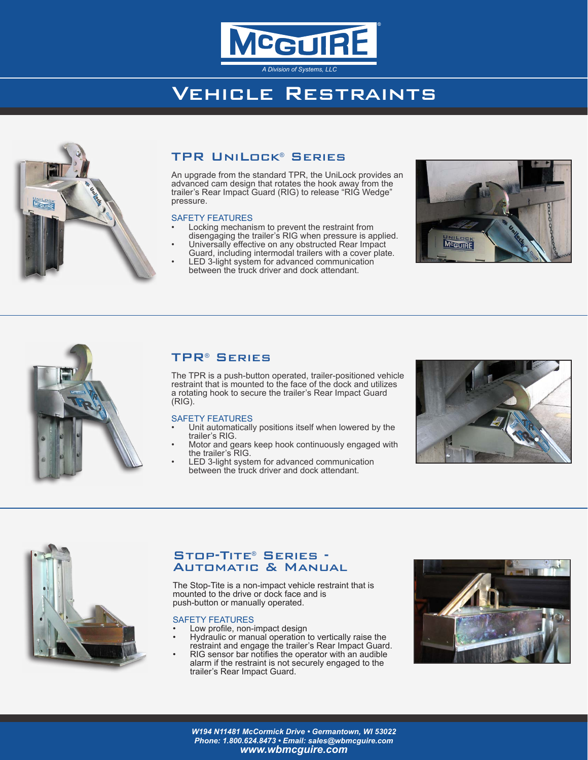

# Vehicle Restraints



## TPR UniLock® Series

An upgrade from the standard TPR, the UniLock provides an advanced cam design that rotates the hook away from the trailer's Rear Impact Guard (RIG) to release "RIG Wedge" pressure.

## SAFETY FEATURES

- Locking mechanism to prevent the restraint from disengaging the trailer's RIG when pressure is applied.
- Universally effective on any obstructed Rear Impact Guard, including intermodal trailers with a cover plate. LED 3-light system for advanced communication
	- between the truck driver and dock attendant.





## TPR® Series

The TPR is a push-button operated, trailer-positioned vehicle restraint that is mounted to the face of the dock and utilizes a rotating hook to secure the trailer's Rear Impact Guard (RIG).

#### SAFETY FEATURES

- Unit automatically positions itself when lowered by the trailer's RIG.
- Motor and gears keep hook continuously engaged with the trailer's RIG.
- LED 3-light system for advanced communication between the truck driver and dock attendant.





## Stop-Tite® Series - Automatic & Manual

The Stop-Tite is a non-impact vehicle restraint that is mounted to the drive or dock face and is push-button or manually operated.

#### SAFETY FEATURES

- Low profile, non-impact design
- Hydraulic or manual operation to vertically raise the restraint and engage the trailer's Rear Impact Guard.
- RIG sensor bar notifies the operator with an audible alarm if the restraint is not securely engaged to the trailer's Rear Impact Guard.